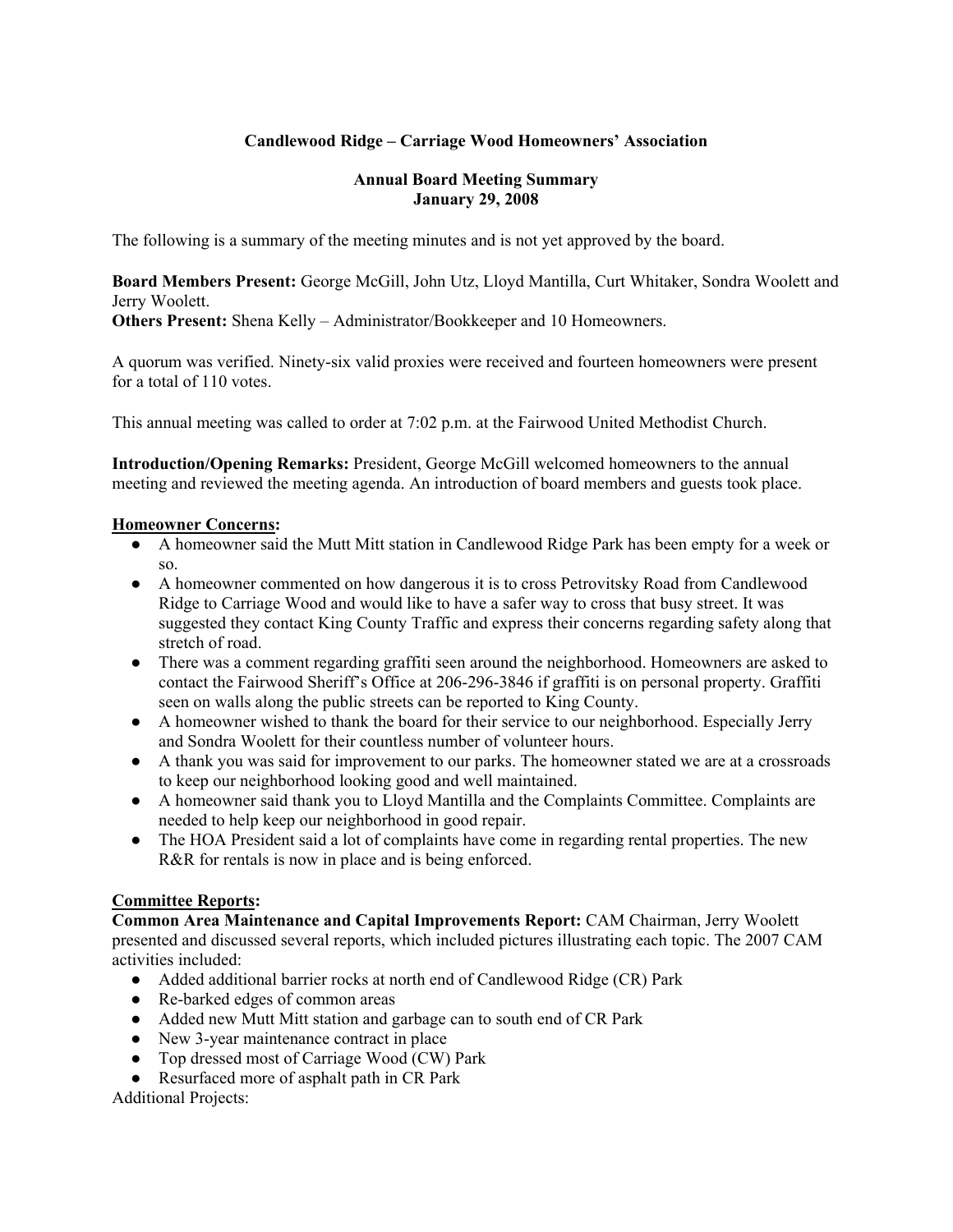# **Candlewood Ridge – Carriage Wood Homeowners' Association**

#### **Annual Board Meeting Summary January 29, 2008**

The following is a summary of the meeting minutes and is not yet approved by the board.

**Board Members Present:** George McGill, John Utz, Lloyd Mantilla, Curt Whitaker, Sondra Woolett and Jerry Woolett.

**Others Present:** Shena Kelly – Administrator/Bookkeeper and 10 Homeowners.

A quorum was verified. Ninety-six valid proxies were received and fourteen homeowners were present for a total of 110 votes.

This annual meeting was called to order at 7:02 p.m. at the Fairwood United Methodist Church.

**Introduction/Opening Remarks:** President, George McGill welcomed homeowners to the annual meeting and reviewed the meeting agenda. An introduction of board members and guests took place.

#### **Homeowner Concerns:**

- A homeowner said the Mutt Mitt station in Candlewood Ridge Park has been empty for a week or so.
- A homeowner commented on how dangerous it is to cross Petrovitsky Road from Candlewood Ridge to Carriage Wood and would like to have a safer way to cross that busy street. It was suggested they contact King County Traffic and express their concerns regarding safety along that stretch of road.
- There was a comment regarding graffiti seen around the neighborhood. Homeowners are asked to contact the Fairwood Sheriff's Office at 206-296-3846 if graffiti is on personal property. Graffiti seen on walls along the public streets can be reported to King County.
- A homeowner wished to thank the board for their service to our neighborhood. Especially Jerry and Sondra Woolett for their countless number of volunteer hours.
- A thank you was said for improvement to our parks. The homeowner stated we are at a crossroads to keep our neighborhood looking good and well maintained.
- A homeowner said thank you to Lloyd Mantilla and the Complaints Committee. Complaints are needed to help keep our neighborhood in good repair.
- The HOA President said a lot of complaints have come in regarding rental properties. The new R&R for rentals is now in place and is being enforced.

## **Committee Reports:**

**Common Area Maintenance and Capital Improvements Report:** CAM Chairman, Jerry Woolett presented and discussed several reports, which included pictures illustrating each topic. The 2007 CAM activities included:

- Added additional barrier rocks at north end of Candlewood Ridge (CR) Park
- Re-barked edges of common areas
- Added new Mutt Mitt station and garbage can to south end of CR Park
- New 3-year maintenance contract in place
- Top dressed most of Carriage Wood (CW) Park
- Resurfaced more of asphalt path in CR Park

Additional Projects: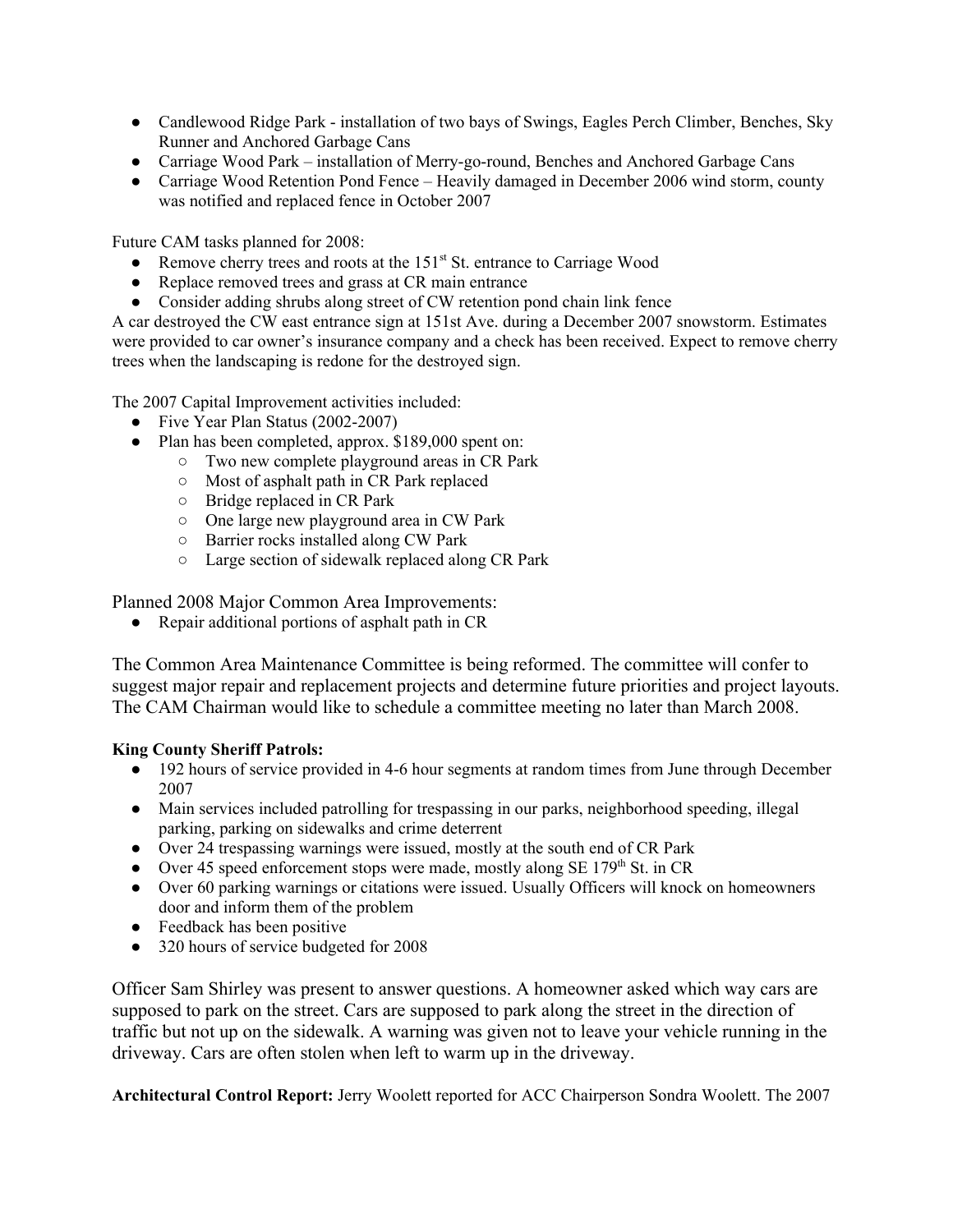- Candlewood Ridge Park installation of two bays of Swings, Eagles Perch Climber, Benches, Sky Runner and Anchored Garbage Cans
- Carriage Wood Park installation of Merry-go-round, Benches and Anchored Garbage Cans
- Carriage Wood Retention Pond Fence Heavily damaged in December 2006 wind storm, county was notified and replaced fence in October 2007

Future CAM tasks planned for 2008:

- Remove cherry trees and roots at the 151<sup>st</sup> St. entrance to Carriage Wood
- Replace removed trees and grass at CR main entrance
- Consider adding shrubs along street of CW retention pond chain link fence

A car destroyed the CW east entrance sign at 151st Ave. during a December 2007 snowstorm. Estimates were provided to car owner's insurance company and a check has been received. Expect to remove cherry trees when the landscaping is redone for the destroyed sign.

The 2007 Capital Improvement activities included:

- Five Year Plan Status (2002-2007)
- Plan has been completed, approx. \$189,000 spent on:
	- Two new complete playground areas in CR Park
	- Most of asphalt path in CR Park replaced
	- Bridge replaced in CR Park
	- One large new playground area in CW Park
	- Barrier rocks installed along CW Park
	- Large section of sidewalk replaced along CR Park

Planned 2008 Major Common Area Improvements:

● Repair additional portions of asphalt path in CR

The Common Area Maintenance Committee is being reformed. The committee will confer to suggest major repair and replacement projects and determine future priorities and project layouts. The CAM Chairman would like to schedule a committee meeting no later than March 2008.

## **King County Sheriff Patrols:**

- 192 hours of service provided in 4-6 hour segments at random times from June through December 2007
- Main services included patrolling for trespassing in our parks, neighborhood speeding, illegal parking, parking on sidewalks and crime deterrent
- Over 24 trespassing warnings were issued, mostly at the south end of CR Park
- Over 45 speed enforcement stops were made, mostly along SE 179<sup>th</sup> St. in CR
- Over 60 parking warnings or citations were issued. Usually Officers will knock on homeowners door and inform them of the problem
- Feedback has been positive
- 320 hours of service budgeted for 2008

Officer Sam Shirley was present to answer questions. A homeowner asked which way cars are supposed to park on the street. Cars are supposed to park along the street in the direction of traffic but not up on the sidewalk. A warning was given not to leave your vehicle running in the driveway. Cars are often stolen when left to warm up in the driveway.

**Architectural Control Report:** Jerry Woolett reported for ACC Chairperson Sondra Woolett. The 2007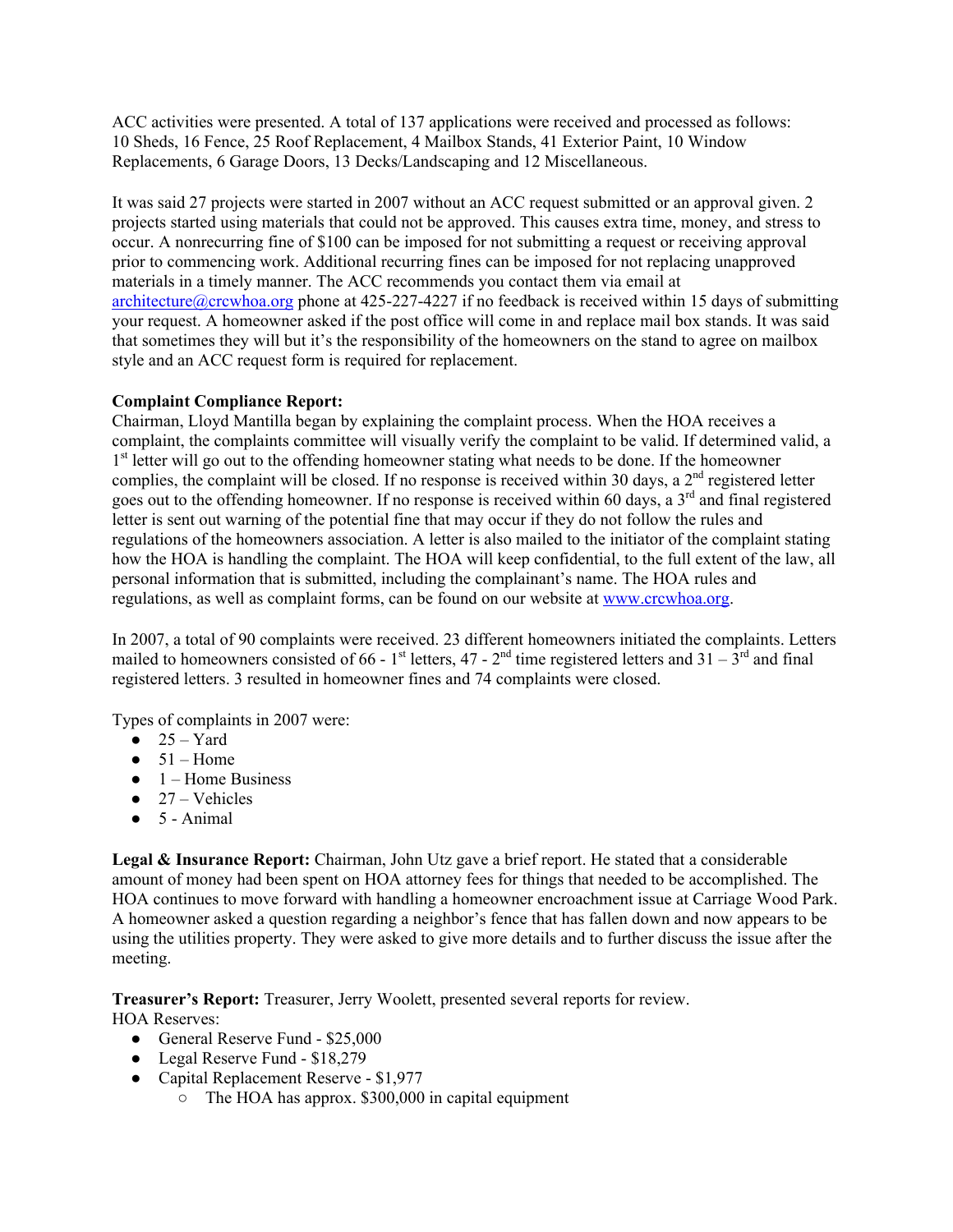ACC activities were presented. A total of 137 applications were received and processed as follows: 10 Sheds, 16 Fence, 25 Roof Replacement, 4 Mailbox Stands, 41 Exterior Paint, 10 Window Replacements, 6 Garage Doors, 13 Decks/Landscaping and 12 Miscellaneous.

It was said 27 projects were started in 2007 without an ACC request submitted or an approval given. 2 projects started using materials that could not be approved. This causes extra time, money, and stress to occur. A nonrecurring fine of \$100 can be imposed for not submitting a request or receiving approval prior to commencing work. Additional recurring fines can be imposed for not replacing unapproved materials in a timely manner. The ACC recommends you contact them via email at architecture@crcwhoa.org phone at 425-227-4227 if no feedback is received within 15 days of submitting your request. A homeowner asked if the post office will come in and replace mail box stands. It was said that sometimes they will but it's the responsibility of the homeowners on the stand to agree on mailbox style and an ACC request form is required for replacement.

## **Complaint Compliance Report:**

Chairman, Lloyd Mantilla began by explaining the complaint process. When the HOA receives a complaint, the complaints committee will visually verify the complaint to be valid. If determined valid, a 1<sup>st</sup> letter will go out to the offending homeowner stating what needs to be done. If the homeowner complies, the complaint will be closed. If no response is received within 30 days, a  $2<sup>nd</sup>$  registered letter goes out to the offending homeowner. If no response is received within 60 days, a 3rd and final registered letter is sent out warning of the potential fine that may occur if they do not follow the rules and regulations of the homeowners association. A letter is also mailed to the initiator of the complaint stating how the HOA is handling the complaint. The HOA will keep confidential, to the full extent of the law, all personal information that is submitted, including the complainant's name. The HOA rules and regulations, as well as complaint forms, can be found on our website at www.crcwhoa.org.

In 2007, a total of 90 complaints were received. 23 different homeowners initiated the complaints. Letters mailed to homeowners consisted of 66 - 1<sup>st</sup> letters, 47 - 2<sup>nd</sup> time registered letters and 31 - 3<sup>rd</sup> and final registered letters. 3 resulted in homeowner fines and 74 complaints were closed.

Types of complaints in 2007 were:

- $\bullet$  25 Yard
- $\bullet$  51 Home
- $\bullet$  1 Home Business
- $\bullet$  27 Vehicles
- $\bullet$  5 Animal

**Legal & Insurance Report:** Chairman, John Utz gave a brief report. He stated that a considerable amount of money had been spent on HOA attorney fees for things that needed to be accomplished. The HOA continues to move forward with handling a homeowner encroachment issue at Carriage Wood Park. A homeowner asked a question regarding a neighbor's fence that has fallen down and now appears to be using the utilities property. They were asked to give more details and to further discuss the issue after the meeting.

**Treasurer's Report:** Treasurer, Jerry Woolett, presented several reports for review.

HOA Reserves:

- General Reserve Fund \$25,000
- Legal Reserve Fund \$18,279
- Capital Replacement Reserve \$1,977
	- $\circ$  The HOA has approx. \$300,000 in capital equipment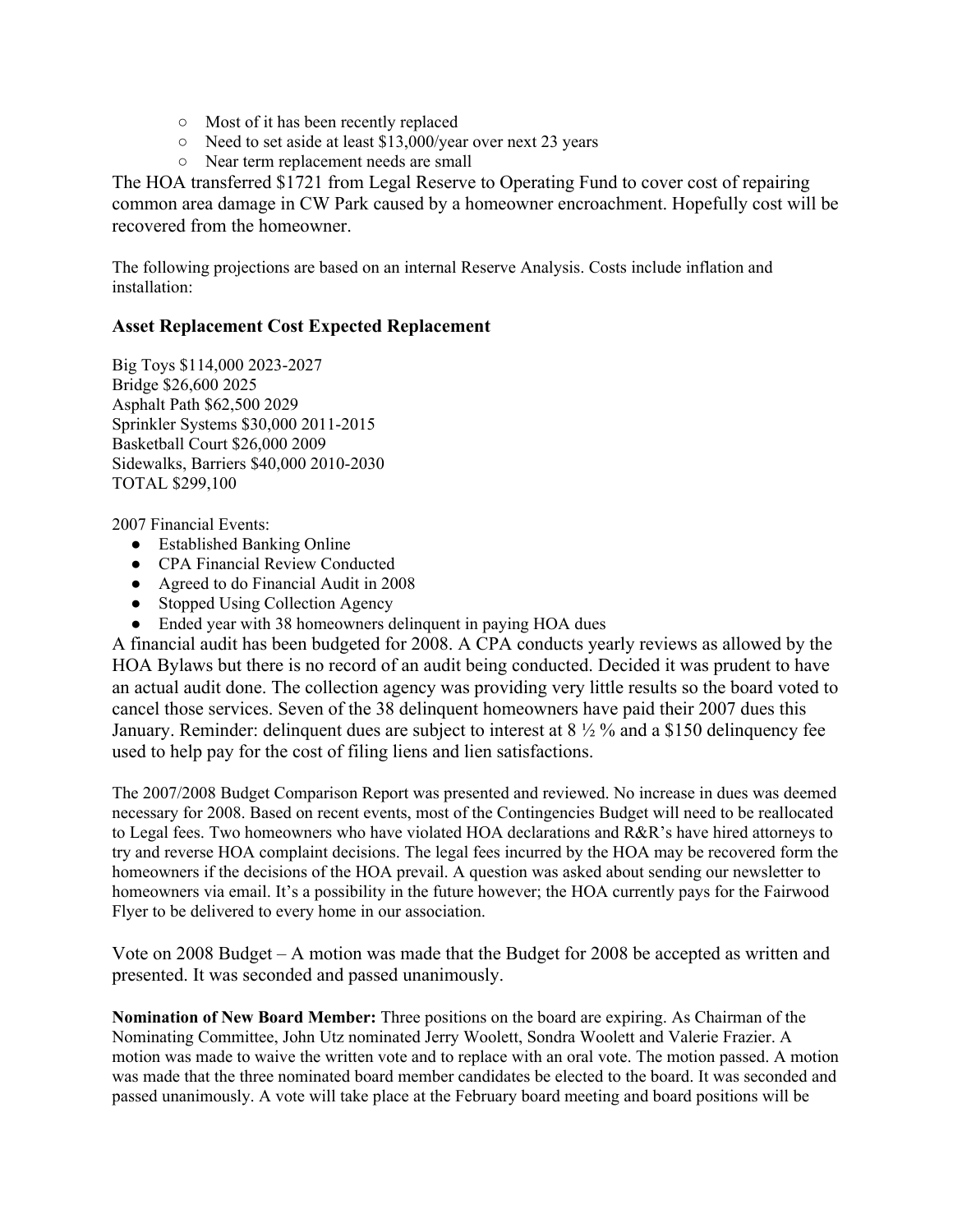- Most of it has been recently replaced
- Need to set aside at least \$13,000/year over next 23 years
- Near term replacement needs are small

The HOA transferred \$1721 from Legal Reserve to Operating Fund to cover cost of repairing common area damage in CW Park caused by a homeowner encroachment. Hopefully cost will be recovered from the homeowner.

The following projections are based on an internal Reserve Analysis. Costs include inflation and installation:

# **Asset Replacement Cost Expected Replacement**

Big Toys \$114,000 2023-2027 Bridge \$26,600 2025 Asphalt Path \$62,500 2029 Sprinkler Systems \$30,000 2011-2015 Basketball Court \$26,000 2009 Sidewalks, Barriers \$40,000 2010-2030 TOTAL \$299,100

2007 Financial Events:

- Established Banking Online
- CPA Financial Review Conducted
- Agreed to do Financial Audit in 2008
- Stopped Using Collection Agency
- Ended year with 38 homeowners delinquent in paying HOA dues

A financial audit has been budgeted for 2008. A CPA conducts yearly reviews as allowed by the HOA Bylaws but there is no record of an audit being conducted. Decided it was prudent to have an actual audit done. The collection agency was providing very little results so the board voted to cancel those services. Seven of the 38 delinquent homeowners have paid their 2007 dues this January. Reminder: delinquent dues are subject to interest at 8 ½ % and a \$150 delinquency fee used to help pay for the cost of filing liens and lien satisfactions.

The 2007/2008 Budget Comparison Report was presented and reviewed. No increase in dues was deemed necessary for 2008. Based on recent events, most of the Contingencies Budget will need to be reallocated to Legal fees. Two homeowners who have violated HOA declarations and R&R's have hired attorneys to try and reverse HOA complaint decisions. The legal fees incurred by the HOA may be recovered form the homeowners if the decisions of the HOA prevail. A question was asked about sending our newsletter to homeowners via email. It's a possibility in the future however; the HOA currently pays for the Fairwood Flyer to be delivered to every home in our association.

Vote on 2008 Budget – A motion was made that the Budget for 2008 be accepted as written and presented. It was seconded and passed unanimously.

**Nomination of New Board Member:** Three positions on the board are expiring. As Chairman of the Nominating Committee, John Utz nominated Jerry Woolett, Sondra Woolett and Valerie Frazier. A motion was made to waive the written vote and to replace with an oral vote. The motion passed. A motion was made that the three nominated board member candidates be elected to the board. It was seconded and passed unanimously. A vote will take place at the February board meeting and board positions will be